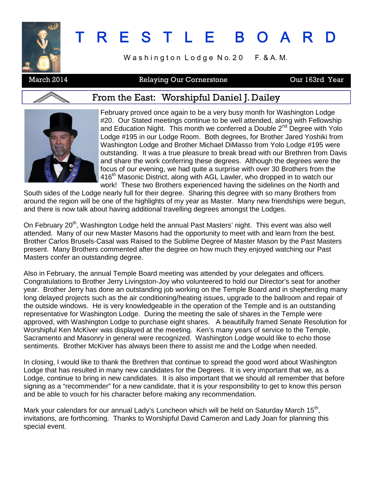

# T R E S T L E B O A R D

Washington Lodge No. 20 F. & A. M.

### March 2014 **Relaying Our Cornerstone Canada Care 163rd Year**

#### From the East: Worshipful Daniel J. Dailey



February proved once again to be a very busy month for Washington Lodge #20. Our Stated meetings continue to be well attended, along with Fellowship and Education Night. This month we conferred a Double 2<sup>nd</sup> Degree with Yolo Lodge #195 in our Lodge Room. Both degrees, for Brother Jared Yoshiki from Washington Lodge and Brother Michael DiMasso from Yolo Lodge #195 were outstanding. It was a true pleasure to break bread with our Brethren from Davis and share the work conferring these degrees. Although the degrees were the focus of our evening, we had quite a surprise with over 30 Brothers from the 416<sup>th</sup> Masonic District, along with AGL Lawler, who dropped in to watch our work! These two Brothers experienced having the sidelines on the North and

South sides of the Lodge nearly full for their degree. Sharing this degree with so many Brothers from around the region will be one of the highlights of my year as Master. Many new friendships were begun, and there is now talk about having additional travelling degrees amongst the Lodges.

On February 20<sup>th</sup>, Washington Lodge held the annual Past Masters' night. This event was also well attended. Many of our new Master Masons had the opportunity to meet with and learn from the best. Brother Carlos Brusels-Casal was Raised to the Sublime Degree of Master Mason by the Past Masters present. Many Brothers commented after the degree on how much they enjoyed watching our Past Masters confer an outstanding degree.

Also in February, the annual Temple Board meeting was attended by your delegates and officers. Congratulations to Brother Jerry Livingston-Joy who volunteered to hold our Director's seat for another year. Brother Jerry has done an outstanding job working on the Temple Board and in shepherding many long delayed projects such as the air conditioning/heating issues, upgrade to the ballroom and repair of the outside windows. He is very knowledgeable in the operation of the Temple and is an outstanding representative for Washington Lodge. During the meeting the sale of shares in the Temple were approved, with Washington Lodge to purchase eight shares. A beautifully framed Senate Resolution for Worshipful Ken McKiver was displayed at the meeting. Ken's many years of service to the Temple, Sacramento and Masonry in general were recognized. Washington Lodge would like to echo those sentiments. Brother McKiver has always been there to assist me and the Lodge when needed.

In closing, I would like to thank the Brethren that continue to spread the good word about Washington Lodge that has resulted in many new candidates for the Degrees. It is very important that we, as a Lodge, continue to bring in new candidates. It is also important that we should all remember that before signing as a "recommender" for a new candidate, that it is your responsibility to get to know this person and be able to vouch for his character before making any recommendation.

Mark your calendars for our annual Lady's Luncheon which will be held on Saturday March 15<sup>th</sup>, invitations, are forthcoming. Thanks to Worshipful David Cameron and Lady Joan for planning this special event.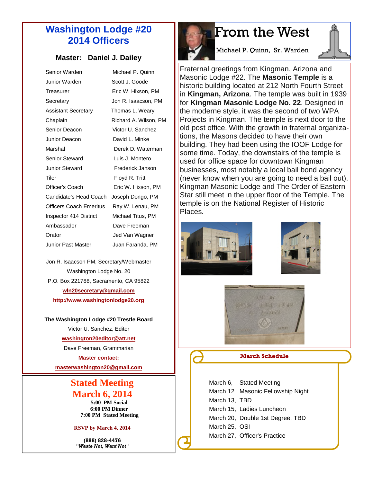### **Washington Lodge #20 2014 Officers**

#### **Master: Daniel J. Dailey**

| Senior Warden              | Michael P. Quinn      |
|----------------------------|-----------------------|
| Junior Warden              | Scott J. Goode        |
| Treasurer                  | Eric W. Hixson. PM    |
| Secretary                  | Jon R. Isaacson, PM   |
| <b>Assistant Secretary</b> | Thomas L. Weary       |
| Chaplain                   | Richard A. Wilson, PM |
| Senior Deacon              | Victor U. Sanchez     |
| Junior Deacon              | David L. Minke        |
| Marshal                    | Derek D. Waterman     |
| <b>Senior Steward</b>      | Luis J. Montero       |
| Junior Steward             | Frederick Janson      |
| Tiler                      | Floyd R. Tritt        |
| Officer's Coach            | Eric W. Hixson, PM    |
| Candidate's Head Coach     | Joseph Dongo, PM      |
| Officers Coach Emeritus    | Ray W. Lenau, PM      |
| Inspector 414 District     | Michael Titus. PM     |
| Ambassador                 | Dave Freeman          |
| Orator                     | Jed Van Wagner        |
| Junior Past Master         | Juan Faranda, PM      |

Jon R. Isaacson PM, Secretary/Webmaster Washington Lodge No. 20 P.O. Box 221788, Sacramento, CA 95822 **wln20secretary@gmail.com http://www.washingtonlodge20.org**

#### **The Washington Lodge #20 Trestle Board**

Victor U. Sanchez, Editor

**washington20editor@att.net**

Dave Freeman, Grammarian

**Master contact:**

**masterwashington20@gmail.com**

### **Stated Meeting March 6, 2014**

**5:00 PM Social 6:00 PM Dinner 7:00 PM Stated Meeting**

#### **RSVP by March 4, 2014**

**(888) 828-4476** *"Waste Not, Want Not"*

## From the West

Michael P. Quinn, Sr. Warden

Fraternal greetings from Kingman, Arizona and Masonic Lodge #22. The **Masonic Temple** is a historic building located at 212 North Fourth Street in **Kingman, Arizona**. The temple was built in 1939 for **Kingman Masonic Lodge No. 22**. Designed in the moderne style, it was the second of two WPA Projects in Kingman. The temple is next door to the old post office. With the growth in fraternal organizations, the Masons decided to have their own building. They had been using the IOOF Lodge for some time. Today, the downstairs of the temple is used for office space for downtown Kingman businesses, most notably a local bail bond agency (never know when you are going to need a bail out). Kingman Masonic Lodge and The Order of Eastern Star still meet in the upper floor of the Temple. The temple is on the National Register of Historic Places.







**March Schedule**

|               | March 6, Stated Meeting           |
|---------------|-----------------------------------|
|               | March 12 Masonic Fellowship Night |
| March 13, TBD |                                   |
|               | March 15, Ladies Luncheon         |
|               | March 20, Double 1st Degree, TBD  |
| March 25. OSI |                                   |
|               | March 27, Officer's Practice      |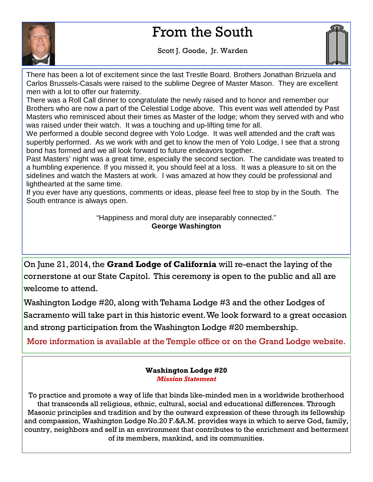## From the South



Scott J. Goode, Jr. Warden



There has been a lot of excitement since the last Trestle Board. Brothers Jonathan Brizuela and Carlos Brussels-Casals were raised to the sublime Degree of Master Mason. They are excellent men with a lot to offer our fraternity.

There was a Roll Call dinner to congratulate the newly raised and to honor and remember our Brothers who are now a part of the Celestial Lodge above. This event was well attended by Past Masters who reminisced about their times as Master of the lodge; whom they served with and who was raised under their watch. It was a touching and up-lifting time for all.

We performed a double second degree with Yolo Lodge. It was well attended and the craft was superbly performed. As we work with and get to know the men of Yolo Lodge, I see that a strong bond has formed and we all look forward to future endeavors together.

Past Masters' night was a great time, especially the second section. The candidate was treated to a humbling experience. If you missed it, you should feel at a loss. It was a pleasure to sit on the sidelines and watch the Masters at work. I was amazed at how they could be professional and lighthearted at the same time.

If you ever have any questions, comments or ideas, please feel free to stop by in the South. The South entrance is always open.

> "Happiness and moral duty are inseparably connected." **George Washington**

On June 21, 2014, the **Grand Lodge of California** will re-enact the laying of the cornerstone at our State Capitol. This ceremony is open to the public and all are welcome to attend.

Washington Lodge #20, along with Tehama Lodge #3 and the other Lodges of Sacramento will take part in this historic event.We look forward to a great occasion and strong participation from the Washington Lodge #20 membership.

More information is available at the Temple office or on the Grand Lodge website.

**Washington Lodge #20** *Mission Statement*

To practice and promote a way of life that binds like-minded men in a worldwide brotherhood that transcends all religious, ethnic, cultural, social and educational differences. Through Masonic principles and tradition and by the outward expression of these through its fellowship and compassion, Washington Lodge No.20 F.&A.M. provides ways in which to serve God, family, country, neighbors and self in an environment that contributes to the enrichment and betterment of its members, mankind, and its communities.